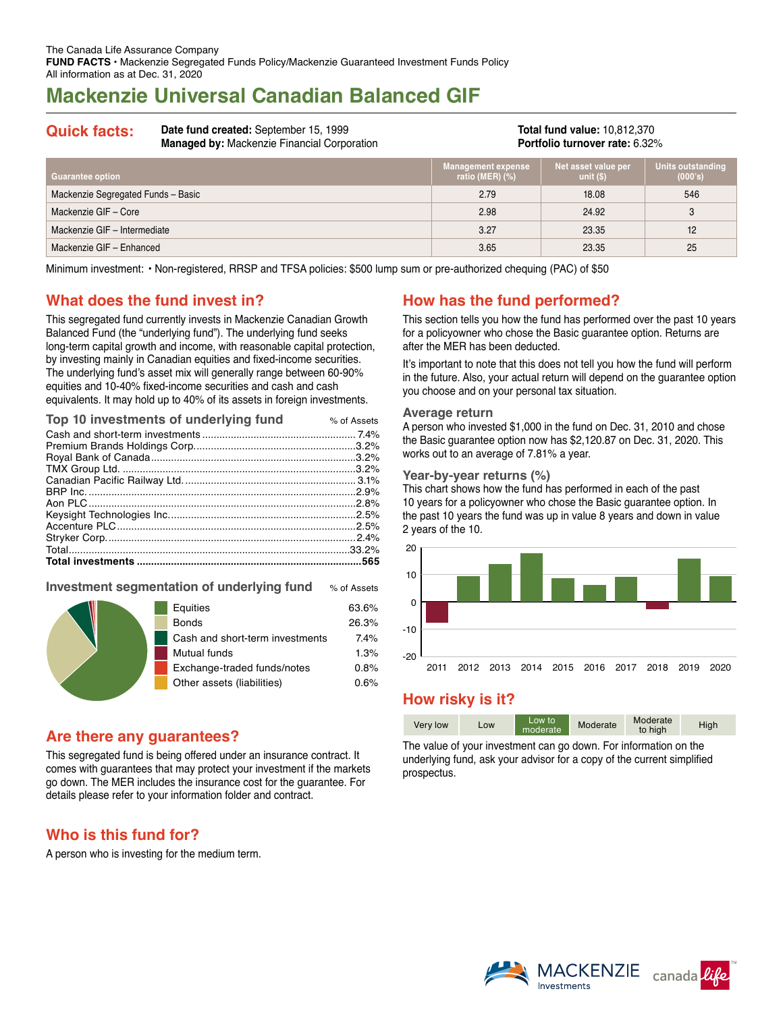# **Mackenzie Universal Canadian Balanced GIF**

**Quick facts: Date fund created:** September 15, 1999 **Managed by:** Mackenzie Financial Corporation

**Total fund value:** 10,812,370 **Portfolio turnover rate:** 6.32%

| <b>Guarantee option</b>            | Management expense<br>ratio (MER) $(\%)$ | Net asset value per<br>unit $(S)$ | Units outstanding<br>(000's) |
|------------------------------------|------------------------------------------|-----------------------------------|------------------------------|
| Mackenzie Segregated Funds - Basic | 2.79                                     | 18.08                             | 546                          |
| Mackenzie GIF - Core               | 2.98                                     | 24.92                             | 3                            |
| Mackenzie GIF - Intermediate       | 3.27                                     | 23.35                             | 12                           |
| Mackenzie GIF - Enhanced           | 3.65                                     | 23.35                             | 25                           |

Minimum investment: • Non-registered, RRSP and TFSA policies: \$500 lump sum or pre-authorized chequing (PAC) of \$50

## **What does the fund invest in?**

This segregated fund currently invests in Mackenzie Canadian Growth Balanced Fund (the "underlying fund"). The underlying fund seeks long-term capital growth and income, with reasonable capital protection, by investing mainly in Canadian equities and fixed-income securities. The underlying fund's asset mix will generally range between 60‑90% equities and 10-40% fixed-income securities and cash and cash equivalents. It may hold up to 40% of its assets in foreign investments.

| Top 10 investments of underlying fund | % of Assets |
|---------------------------------------|-------------|
|                                       |             |
|                                       |             |
|                                       |             |
|                                       |             |
|                                       |             |
|                                       |             |
|                                       |             |
|                                       |             |
|                                       |             |
|                                       |             |
|                                       |             |
|                                       |             |
|                                       |             |

### **Investment segmentation of underlying fund** % of Assets

|  | Equities                        | 63.6% |
|--|---------------------------------|-------|
|  | <b>Bonds</b>                    | 26.3% |
|  | Cash and short-term investments | 7.4%  |
|  | Mutual funds                    | 1.3%  |
|  | Exchange-traded funds/notes     | 0.8%  |
|  | Other assets (liabilities)      | 0.6%  |
|  |                                 |       |

## **Are there any guarantees?**

This segregated fund is being offered under an insurance contract. It comes with guarantees that may protect your investment if the markets go down. The MER includes the insurance cost for the guarantee. For details please refer to your information folder and contract.

## **Who is this fund for?**

A person who is investing for the medium term.

## **How has the fund performed?**

This section tells you how the fund has performed over the past 10 years for a policyowner who chose the Basic guarantee option. Returns are after the MER has been deducted.

It's important to note that this does not tell you how the fund will perform in the future. Also, your actual return will depend on the guarantee option you choose and on your personal tax situation.

#### **Average return**

A person who invested \$1,000 in the fund on Dec. 31, 2010 and chose the Basic guarantee option now has \$2,120.87 on Dec. 31, 2020. This works out to an average of 7.81% a year.

### **Year-by-year returns (%)**

This chart shows how the fund has performed in each of the past 10 years for a policyowner who chose the Basic guarantee option. In the past 10 years the fund was up in value 8 years and down in value 2 years of the 10.



## **How risky is it?**

| Very low | Low | Low to<br>moderate | Moderate | Moderate<br>to high | High |
|----------|-----|--------------------|----------|---------------------|------|

The value of your investment can go down. For information on the underlying fund, ask your advisor for a copy of the current simplified prospectus.